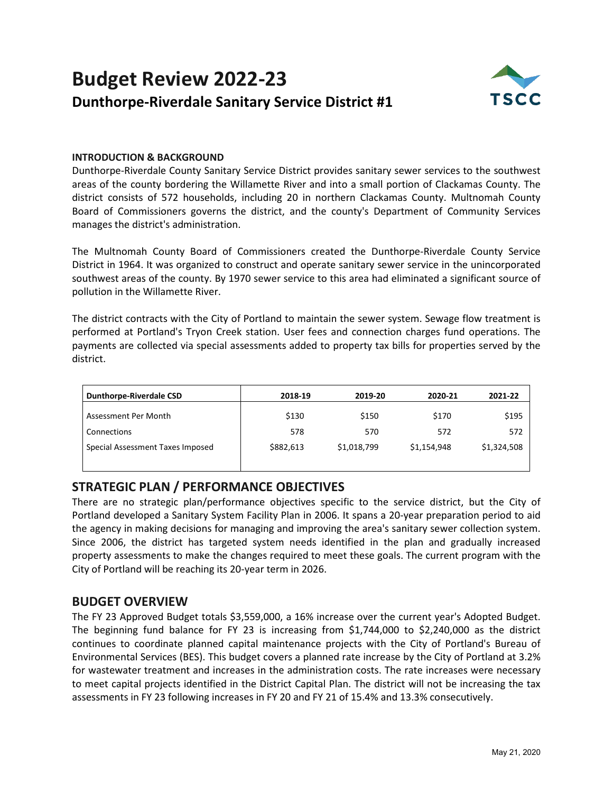## **Budget Review 2022-23 Dunthorpe-Riverdale Sanitary Service District #1**



#### **INTRODUCTION & BACKGROUND**

Dunthorpe-Riverdale County Sanitary Service District provides sanitary sewer services to the southwest areas of the county bordering the Willamette River and into a small portion of Clackamas County. The district consists of 572 households, including 20 in northern Clackamas County. Multnomah County Board of Commissioners governs the district, and the county's Department of Community Services manages the district's administration.

The Multnomah County Board of Commissioners created the Dunthorpe-Riverdale County Service District in 1964. It was organized to construct and operate sanitary sewer service in the unincorporated southwest areas of the county. By 1970 sewer service to this area had eliminated a significant source of pollution in the Willamette River.

The district contracts with the City of Portland to maintain the sewer system. Sewage flow treatment is performed at Portland's Tryon Creek station. User fees and connection charges fund operations. The payments are collected via special assessments added to property tax bills for properties served by the district.

| <b>Dunthorpe-Riverdale CSD</b>   | 2018-19   | 2019-20     | 2020-21     | 2021-22     |
|----------------------------------|-----------|-------------|-------------|-------------|
| Assessment Per Month             | \$130     | \$150       | \$170       | \$195       |
| Connections                      | 578       | 570         | 572         | 572         |
| Special Assessment Taxes Imposed | \$882,613 | \$1,018,799 | \$1,154,948 | \$1,324,508 |
|                                  |           |             |             |             |

## **STRATEGIC PLAN / PERFORMANCE OBJECTIVES**

There are no strategic plan/performance objectives specific to the service district, but the City of Portland developed a Sanitary System Facility Plan in 2006. It spans a 20-year preparation period to aid the agency in making decisions for managing and improving the area's sanitary sewer collection system. Since 2006, the district has targeted system needs identified in the plan and gradually increased property assessments to make the changes required to meet these goals. The current program with the City of Portland will be reaching its 20-year term in 2026.

## **BUDGET OVERVIEW**

The FY 23 Approved Budget totals \$3,559,000, a 16% increase over the current year's Adopted Budget. The beginning fund balance for FY 23 is increasing from \$1,744,000 to \$2,240,000 as the district continues to coordinate planned capital maintenance projects with the City of Portland's Bureau of Environmental Services (BES). This budget covers a planned rate increase by the City of Portland at 3.2% for wastewater treatment and increases in the administration costs. The rate increases were necessary to meet capital projects identified in the District Capital Plan. The district will not be increasing the tax assessments in FY 23 following increases in FY 20 and FY 21 of 15.4% and 13.3% consecutively.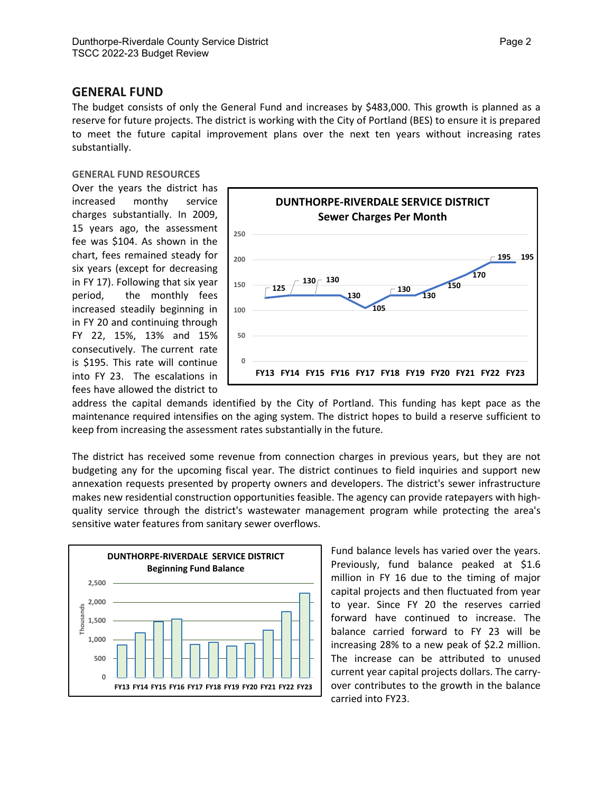#### **GENERAL FUND**

The budget consists of only the General Fund and increases by \$483,000. This growth is planned as a reserve for future projects. The district is working with the City of Portland (BES) to ensure it is prepared to meet the future capital improvement plans over the next ten years without increasing rates substantially.

#### **GENERAL FUND RESOURCES**

Over the years the district has increased monthy service charges substantially. In 2009, 15 years ago, the assessment fee was \$104. As shown in the chart, fees remained steady for six years (except for decreasing in FY 17). Following that six year period, the monthly fees increased steadily beginning in in FY 20 and continuing through FY 22, 15%, 13% and 15% consecutively. The current rate is \$195. This rate will continue into FY 23. The escalations in fees have allowed the district to



address the capital demands identified by the City of Portland. This funding has kept pace as the maintenance required intensifies on the aging system. The district hopes to build a reserve sufficient to keep from increasing the assessment rates substantially in the future.

The district has received some revenue from connection charges in previous years, but they are not budgeting any for the upcoming fiscal year. The district continues to field inquiries and support new annexation requests presented by property owners and developers. The district's sewer infrastructure makes new residential construction opportunities feasible. The agency can provide ratepayers with highquality service through the district's wastewater management program while protecting the area's sensitive water features from sanitary sewer overflows.



Fund balance levels has varied over the years. Previously, fund balance peaked at \$1.6 million in FY 16 due to the timing of major capital projects and then fluctuated from year to year. Since FY 20 the reserves carried forward have continued to increase. The balance carried forward to FY 23 will be increasing 28% to a new peak of \$2.2 million. The increase can be attributed to unused current year capital projects dollars. The carryover contributes to the growth in the balance carried into FY23.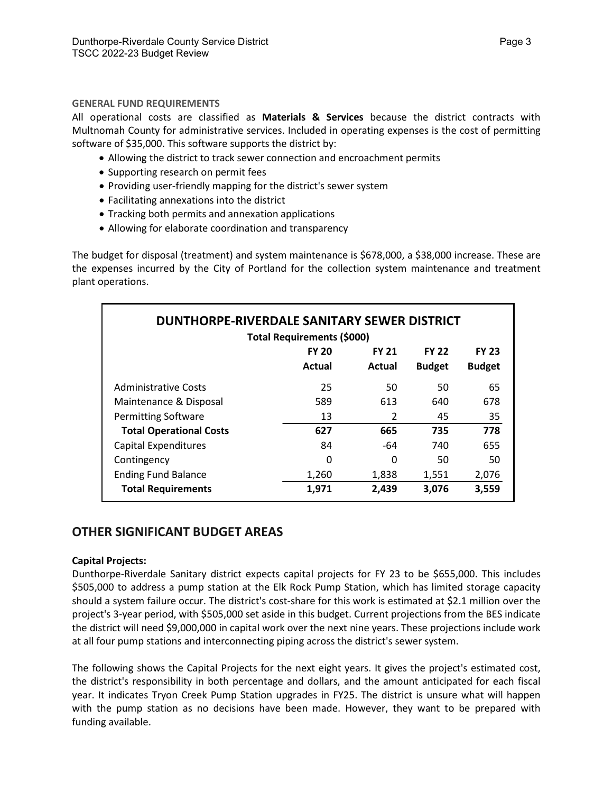#### **GENERAL FUND REQUIREMENTS**

All operational costs are classified as **Materials & Services** because the district contracts with Multnomah County for administrative services. Included in operating expenses is the cost of permitting software of \$35,000. This software supports the district by:

- Allowing the district to track sewer connection and encroachment permits
- Supporting research on permit fees
- Providing user-friendly mapping for the district's sewer system
- Facilitating annexations into the district
- Tracking both permits and annexation applications
- Allowing for elaborate coordination and transparency

The budget for disposal (treatment) and system maintenance is \$678,000, a \$38,000 increase. These are the expenses incurred by the City of Portland for the collection system maintenance and treatment plant operations.

| DUNTHORPE-RIVERDALE SANITARY SEWER DISTRICT |                                                              |        |               |               |  |  |  |  |  |  |
|---------------------------------------------|--------------------------------------------------------------|--------|---------------|---------------|--|--|--|--|--|--|
| Total Requirements (\$000)                  |                                                              |        |               |               |  |  |  |  |  |  |
|                                             | <b>FY 22</b><br><b>FY 20</b><br><b>FY 21</b><br><b>FY 23</b> |        |               |               |  |  |  |  |  |  |
|                                             | Actual                                                       | Actual | <b>Budget</b> | <b>Budget</b> |  |  |  |  |  |  |
| <b>Administrative Costs</b>                 | 25                                                           | 50     | 50            | 65            |  |  |  |  |  |  |
| Maintenance & Disposal                      | 589                                                          | 613    | 640           | 678           |  |  |  |  |  |  |
| <b>Permitting Software</b>                  | 13                                                           | 2      | 45            | 35            |  |  |  |  |  |  |
| <b>Total Operational Costs</b>              | 627                                                          | 665    | 735           | 778           |  |  |  |  |  |  |
| <b>Capital Expenditures</b>                 | 84                                                           | -64    | 740           | 655           |  |  |  |  |  |  |
| Contingency                                 | 0                                                            | 0      | 50            | 50            |  |  |  |  |  |  |
| <b>Ending Fund Balance</b>                  | 1,260                                                        | 1,838  | 1,551         | 2,076         |  |  |  |  |  |  |
| <b>Total Requirements</b>                   | 1,971                                                        | 2,439  | 3,076         | 3,559         |  |  |  |  |  |  |

## **OTHER SIGNIFICANT BUDGET AREAS**

#### **Capital Projects:**

Dunthorpe-Riverdale Sanitary district expects capital projects for FY 23 to be \$655,000. This includes \$505,000 to address a pump station at the Elk Rock Pump Station, which has limited storage capacity should a system failure occur. The district's cost-share for this work is estimated at \$2.1 million over the project's 3-year period, with \$505,000 set aside in this budget. Current projections from the BES indicate the district will need \$9,000,000 in capital work over the next nine years. These projections include work at all four pump stations and interconnecting piping across the district's sewer system.

The following shows the Capital Projects for the next eight years. It gives the project's estimated cost, the district's responsibility in both percentage and dollars, and the amount anticipated for each fiscal year. It indicates Tryon Creek Pump Station upgrades in FY25. The district is unsure what will happen with the pump station as no decisions have been made. However, they want to be prepared with funding available.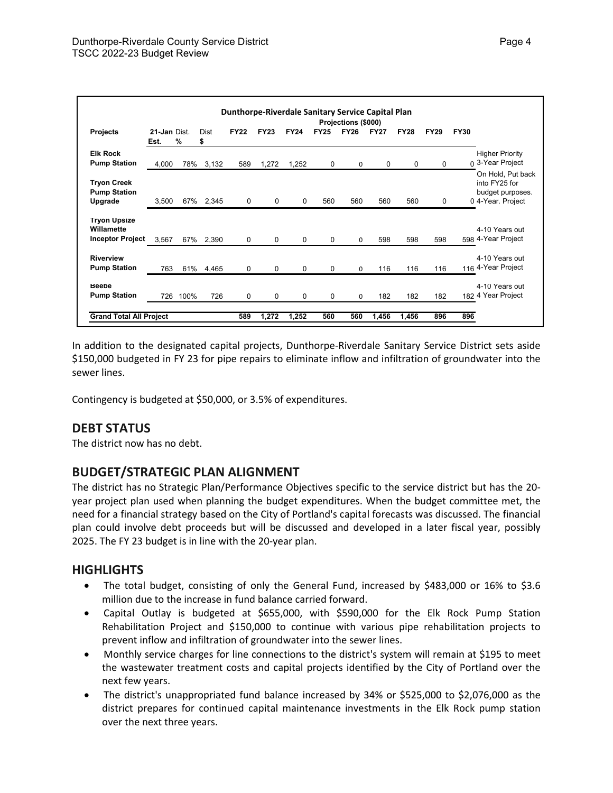| Dunthorpe-Riverdale Sanitary Service Capital Plan<br>Projections (\$000) |                      |      |           |             |             |             |              |             |             |             |             |             |                                                                             |
|--------------------------------------------------------------------------|----------------------|------|-----------|-------------|-------------|-------------|--------------|-------------|-------------|-------------|-------------|-------------|-----------------------------------------------------------------------------|
| Projects                                                                 | 21-Jan Dist.<br>Est. | %    | Dist<br>s | <b>FY22</b> | <b>FY23</b> | <b>FY24</b> | <b>FY25</b>  | <b>FY26</b> | <b>FY27</b> | <b>FY28</b> | <b>FY29</b> | <b>FY30</b> |                                                                             |
| <b>Elk Rock</b><br><b>Pump Station</b>                                   | 4,000                | 78%  | 3,132     | 589         | 1,272       | 1,252       | 0            | 0           | $\mathbf 0$ | 0           | 0           |             | <b>Higher Priority</b><br>0 3-Year Project                                  |
| <b>Tryon Creek</b><br><b>Pump Station</b><br>Upgrade                     | 3,500                |      | 67% 2,345 | 0           | $\Omega$    | $\mathbf 0$ | 560          | 560         | 560         | 560         | 0           |             | On Hold, Put back<br>into FY25 for<br>budget purposes.<br>0 4-Year. Project |
| <b>Tryon Upsize</b><br>Willamette<br><b>Inceptor Project</b>             | 3,567                | 67%  | 2,390     | $\Omega$    | $\Omega$    | $\Omega$    | $\mathbf{0}$ | $\Omega$    | 598         | 598         | 598         |             | 4-10 Years out<br>598 4-Year Project                                        |
| <b>Riverview</b><br><b>Pump Station</b>                                  | 763                  |      | 61% 4,465 | 0           | $\Omega$    | $\mathbf 0$ | $\Omega$     | $\Omega$    | 116         | 116         | 116         |             | 4-10 Years out<br>116 4-Year Project                                        |
| <b>Beebe</b><br><b>Pump Station</b>                                      | 726                  | 100% | 726       | $\mathbf 0$ | $\Omega$    | $\mathbf 0$ | $\mathbf 0$  | $\Omega$    | 182         | 182         | 182         |             | 4-10 Years out<br>182 4 Year Project                                        |
| <b>Grand Total All Project</b>                                           |                      |      |           | 589         | 1,272       | 1,252       | 560          | 560         | 1,456       | 1,456       | 896         | 896         |                                                                             |

In addition to the designated capital projects, Dunthorpe-Riverdale Sanitary Service District sets aside \$150,000 budgeted in FY 23 for pipe repairs to eliminate inflow and infiltration of groundwater into the sewer lines.

Contingency is budgeted at \$50,000, or 3.5% of expenditures.

## **DEBT STATUS**

The district now has no debt.

## **BUDGET/STRATEGIC PLAN ALIGNMENT**

The district has no Strategic Plan/Performance Objectives specific to the service district but has the 20 year project plan used when planning the budget expenditures. When the budget committee met, the need for a financial strategy based on the City of Portland's capital forecasts was discussed. The financial plan could involve debt proceeds but will be discussed and developed in a later fiscal year, possibly 2025. The FY 23 budget is in line with the 20-year plan.

## **HIGHLIGHTS**

- The total budget, consisting of only the General Fund, increased by \$483,000 or 16% to \$3.6 million due to the increase in fund balance carried forward.
- Capital Outlay is budgeted at \$655,000, with \$590,000 for the Elk Rock Pump Station Rehabilitation Project and \$150,000 to continue with various pipe rehabilitation projects to prevent inflow and infiltration of groundwater into the sewer lines.
- Monthly service charges for line connections to the district's system will remain at \$195 to meet the wastewater treatment costs and capital projects identified by the City of Portland over the next few years.
- The district's unappropriated fund balance increased by 34% or \$525,000 to \$2,076,000 as the district prepares for continued capital maintenance investments in the Elk Rock pump station over the next three years.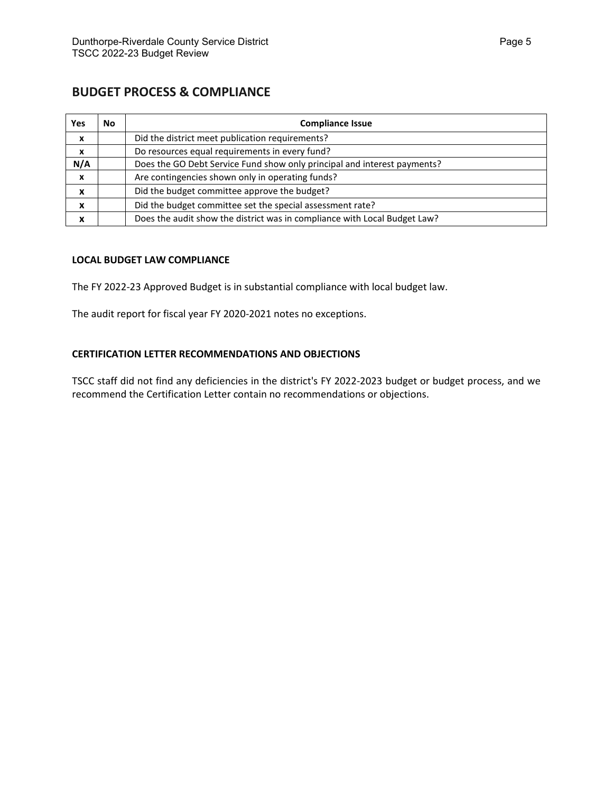## **BUDGET PROCESS & COMPLIANCE**

| <b>Yes</b> | No | <b>Compliance Issue</b>                                                   |
|------------|----|---------------------------------------------------------------------------|
| X          |    | Did the district meet publication requirements?                           |
| X          |    | Do resources equal requirements in every fund?                            |
| N/A        |    | Does the GO Debt Service Fund show only principal and interest payments?  |
| X          |    | Are contingencies shown only in operating funds?                          |
| x          |    | Did the budget committee approve the budget?                              |
| X          |    | Did the budget committee set the special assessment rate?                 |
| x          |    | Does the audit show the district was in compliance with Local Budget Law? |

#### **LOCAL BUDGET LAW COMPLIANCE**

The FY 2022-23 Approved Budget is in substantial compliance with local budget law.

The audit report for fiscal year FY 2020-2021 notes no exceptions.

#### **CERTIFICATION LETTER RECOMMENDATIONS AND OBJECTIONS**

TSCC staff did not find any deficiencies in the district's FY 2022-2023 budget or budget process, and we recommend the Certification Letter contain no recommendations or objections.